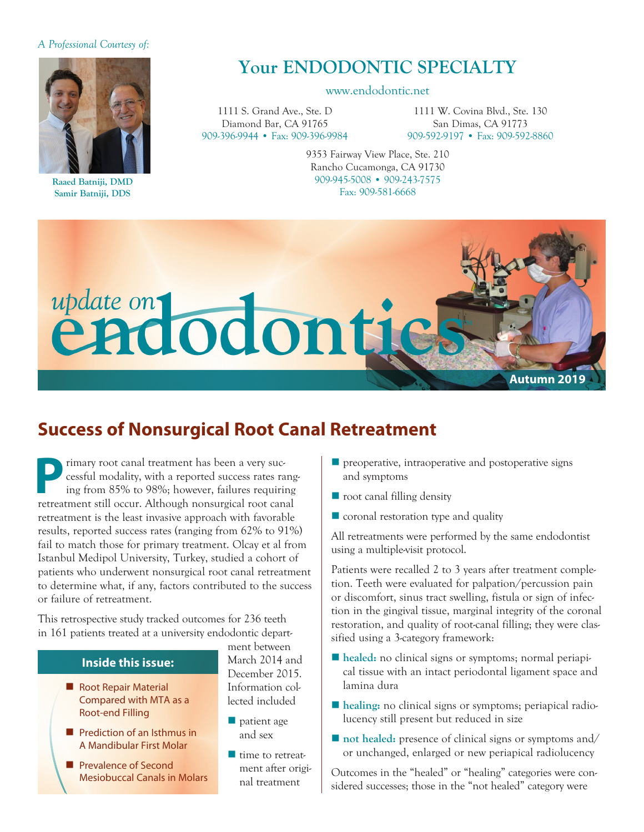#### *A Professional Courtesy of:*



**Raaed Batniji, DMD Samir Batniji, DDS**

# **Your ENDODONTIC SPECIALTY**

#### www.endodontic.net

1111 S. Grand Ave., Ste. D Diamond Bar, CA 91765 909-396-9944 • Fax: 909-396-9984

1111 W. Covina Blvd., Ste. 130 San Dimas, CA 91773 909-592-9197 • Fax: 909-592-8860

9353 Fairway View Place, Ste. 210 Rancho Cucamonga, CA 91730 909-945-5008 • 909-243-7575 Fax: 909-581-6668



# **Success of Nonsurgical Root Canal Retreatment**

rimary root canal treatment has been a very successful modality, with a reported success rates ranging from 85% to 98%; however, failures requiring retreatment still occur. Although nonsurgical root canal retreatment is the least invasive approach with favorable results, reported success rates (ranging from 62% to 91%) fail to match those for primary treatment. Olcay et al from Istanbul Medipol University, Turkey, studied a cohort of patients who underwent nonsurgical root canal retreatment to determine what, if any, factors contributed to the success or failure of retreatment.

This retrospective study tracked outcomes for 236 teeth in 161 patients treated at a university endodontic depart-

### **Inside this issue:**

- Root Repair Material Compared with MTA as a Root-end Filling
- $\blacksquare$  Prediction of an Isthmus in A Mandibular First Molar
- **Prevalence of Second** Mesiobuccal Canals in Molars

ment between March 2014 and December 2015. Information collected included

- $\blacksquare$  patient age and sex
- $\blacksquare$  time to retreatment after original treatment
- $\blacksquare$  preoperative, intraoperative and postoperative signs and symptoms
- $\blacksquare$  root canal filling density
- $\blacksquare$  coronal restoration type and quality

All retreatments were performed by the same endodontist using a multiple-visit protocol.

Patients were recalled 2 to 3 years after treatment completion. Teeth were evaluated for palpation/percussion pain or discomfort, sinus tract swelling, fistula or sign of infection in the gingival tissue, marginal integrity of the coronal restoration, and quality of root-canal filling; they were classified using a 3-category framework:

- **healed:** no clinical signs or symptoms; normal periapical tissue with an intact periodontal ligament space and lamina dura
- **n** healing: no clinical signs or symptoms; periapical radiolucency still present but reduced in size
- not healed: presence of clinical signs or symptoms and/ or unchanged, enlarged or new periapical radiolucency

Outcomes in the "healed" or "healing" categories were considered successes; those in the "not healed" category were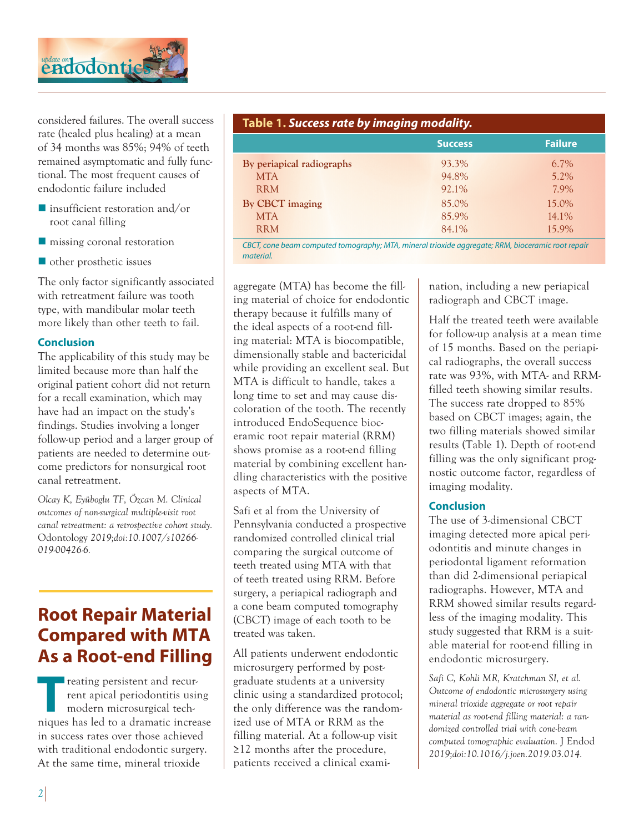

considered failures. The overall success rate (healed plus healing) at a mean of 34 months was 85%; 94% of teeth remained asymptomatic and fully functional. The most frequent causes of endodontic failure included

- $\blacksquare$  insufficient restoration and/or root canal filling
- $\blacksquare$  missing coronal restoration
- $\blacksquare$  other prosthetic issues

The only factor significantly associated with retreatment failure was tooth type, with mandibular molar teeth more likely than other teeth to fail.

#### **Conclusion**

The applicability of this study may be limited because more than half the original patient cohort did not return for a recall examination, which may have had an impact on the study's findings. Studies involving a longer follow-up period and a larger group of patients are needed to determine outcome predictors for nonsurgical root canal retreatment.

*Olcay K, Eyüboglu TF, Özcan M. Clinical outcomes of non-surgical multiple-visit root canal retreatment: a retrospective cohort study.*  Odontology *2019;doi:10.1007/s10266- 019-00426-6.*

# **Root Repair Material Compared with MTA As a Root-end Filling**

**T**reating persistent and recurrent apical periodontitis using modern microsurgical techniques has led to a dramatic increase in success rates over those achieved with traditional endodontic surgery. At the same time, mineral trioxide

| Table 1. Success rate by imaging modality. |                |                |  |
|--------------------------------------------|----------------|----------------|--|
|                                            | <b>Success</b> | <b>Failure</b> |  |
| By periapical radiographs                  | 93.3%          | 6.7%           |  |
| <b>MTA</b>                                 | 94.8%          | $5.2\%$        |  |
| <b>RRM</b>                                 | 92.1%          | 7.9%           |  |
| By CBCT imaging                            | 85.0%          | 15.0%          |  |
| <b>MTA</b>                                 | 85.9%          | $14.1\%$       |  |
| <b>RRM</b>                                 | 84.1%          | 15.9%          |  |

*CBCT, cone beam computed tomography; MTA, mineral trioxide aggregate; RRM, bioceramic root repair material.*

aggregate (MTA) has become the filling material of choice for endodontic therapy because it fulfills many of the ideal aspects of a root-end filling material: MTA is biocompatible, dimensionally stable and bactericidal while providing an excellent seal. But MTA is difficult to handle, takes a long time to set and may cause discoloration of the tooth. The recently introduced EndoSequence bioceramic root repair material (RRM) shows promise as a root-end filling material by combining excellent handling characteristics with the positive aspects of MTA.

Safi et al from the University of Pennsylvania conducted a prospective randomized controlled clinical trial comparing the surgical outcome of teeth treated using MTA with that of teeth treated using RRM. Before surgery, a periapical radiograph and a cone beam computed tomography (CBCT) image of each tooth to be treated was taken.

All patients underwent endodontic microsurgery performed by postgraduate students at a university clinic using a standardized protocol; the only difference was the randomized use of MTA or RRM as the filling material. At a follow-up visit ≥12 months after the procedure, patients received a clinical examination, including a new periapical radiograph and CBCT image.

Half the treated teeth were available for follow-up analysis at a mean time of 15 months. Based on the periapical radiographs, the overall success rate was 93%, with MTA- and RRMfilled teeth showing similar results. The success rate dropped to 85% based on CBCT images; again, the two filling materials showed similar results (Table 1). Depth of root-end filling was the only significant prognostic outcome factor, regardless of imaging modality.

#### **Conclusion**

The use of 3-dimensional CBCT imaging detected more apical periodontitis and minute changes in periodontal ligament reformation than did 2-dimensional periapical radiographs. However, MTA and RRM showed similar results regardless of the imaging modality. This study suggested that RRM is a suitable material for root-end filling in endodontic microsurgery.

*Safi C, Kohli MR, Kratchman SI, et al. Outcome of endodontic microsurgery using mineral trioxide aggregate or root repair material as root-end filling material: a randomized controlled trial with cone-beam computed tomographic evaluation.* J Endod *2019;doi:10.1016/j.joen.2019.03.014.*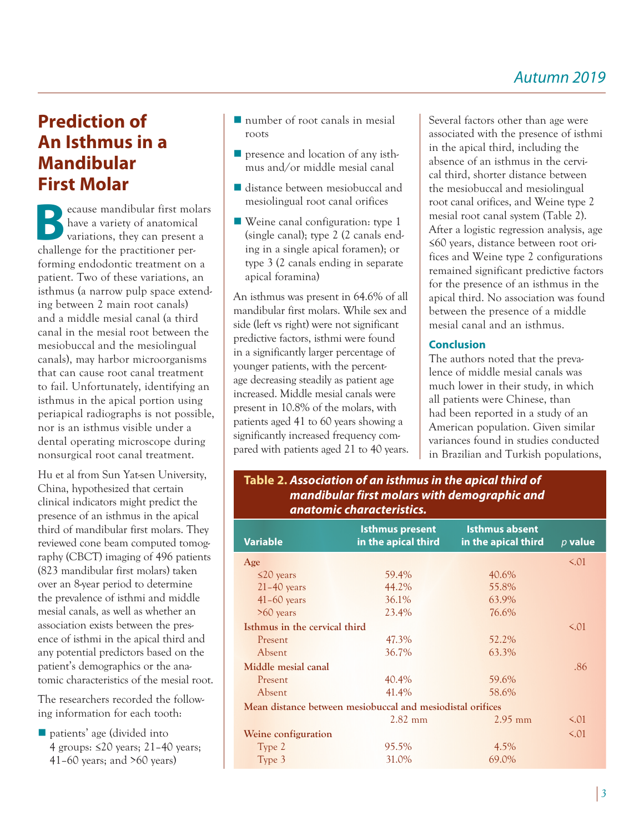# **Prediction of An Isthmus in a Mandibular First Molar**

**B**ecause mandibular first molars have a variety of anatomical variations, they can present a challenge for the practitioner performing endodontic treatment on a patient. Two of these variations, an isthmus (a narrow pulp space extending between 2 main root canals) and a middle mesial canal (a third canal in the mesial root between the mesiobuccal and the mesiolingual canals), may harbor microorganisms that can cause root canal treatment to fail. Unfortunately, identifying an isthmus in the apical portion using periapical radiographs is not possible, nor is an isthmus visible under a dental operating microscope during nonsurgical root canal treatment.

Hu et al from Sun Yat-sen University, China, hypothesized that certain clinical indicators might predict the presence of an isthmus in the apical third of mandibular first molars. They reviewed cone beam computed tomography (CBCT) imaging of 496 patients (823 mandibular first molars) taken over an 8-year period to determine the prevalence of isthmi and middle mesial canals, as well as whether an association exists between the presence of isthmi in the apical third and any potential predictors based on the patient's demographics or the anatomic characteristics of the mesial root.

The researchers recorded the following information for each tooth:

n patients' age (divided into 4 groups: ≤20 years; 21–40 years; 41–60 years; and >60 years)

- $\blacksquare$  number of root canals in mesial roots
- $\blacksquare$  presence and location of any isthmus and/or middle mesial canal
- $\blacksquare$  distance between mesiobuccal and mesiolingual root canal orifices
- $\blacksquare$  Weine canal configuration: type 1 (single canal); type 2 (2 canals ending in a single apical foramen); or type 3 (2 canals ending in separate apical foramina)

An isthmus was present in 64.6% of all mandibular first molars. While sex and side (left vs right) were not significant predictive factors, isthmi were found in a significantly larger percentage of younger patients, with the percentage decreasing steadily as patient age increased. Middle mesial canals were present in 10.8% of the molars, with patients aged 41 to 60 years showing a significantly increased frequency compared with patients aged 21 to 40 years. Several factors other than age were associated with the presence of isthmi in the apical third, including the absence of an isthmus in the cervical third, shorter distance between the mesiobuccal and mesiolingual root canal orifices, and Weine type 2 mesial root canal system (Table 2). After a logistic regression analysis, age ≤60 years, distance between root orifices and Weine type 2 configurations remained significant predictive factors for the presence of an isthmus in the apical third. No association was found between the presence of a middle mesial canal and an isthmus.

### **Conclusion**

The authors noted that the prevalence of middle mesial canals was much lower in their study, in which all patients were Chinese, than had been reported in a study of an American population. Given similar variances found in studies conducted in Brazilian and Turkish populations,

## **Table 2.** *Association of an isthmus in the apical third of mandibular first molars with demographic and anatomic characteristics.*

| <b>Variable</b>                                            | <b>Isthmus present</b><br>in the apical third | <b>Isthmus absent</b><br>in the apical third | $p$ value |  |
|------------------------------------------------------------|-----------------------------------------------|----------------------------------------------|-----------|--|
| Age                                                        |                                               |                                              | $\leq$ 01 |  |
| $\leq$ 20 years                                            | 59.4%                                         | 40.6%                                        |           |  |
| $21 - 40$ years                                            | 44.2%                                         | 55.8%                                        |           |  |
| $41-60$ years                                              | 36.1%                                         | 63.9%                                        |           |  |
| $>60$ years                                                | 23.4%                                         | 76.6%                                        |           |  |
| Isthmus in the cervical third                              |                                               |                                              | 5.01      |  |
| Present                                                    | 47.3%                                         | 52.2%                                        |           |  |
| Absent                                                     | 36.7%                                         | 63.3%                                        |           |  |
| Middle mesial canal                                        |                                               |                                              | .86       |  |
| Present                                                    | 40.4%                                         | 59.6%                                        |           |  |
| Absent                                                     | 41.4%                                         | 58.6%                                        |           |  |
| Mean distance between mesiobuccal and mesiodistal orifices |                                               |                                              |           |  |
|                                                            | $2.82$ mm                                     | $2.95$ mm                                    | $\leq$ 01 |  |
| Weine configuration                                        |                                               |                                              | 5.01      |  |
| Type 2                                                     | 95.5%                                         | $4.5\%$                                      |           |  |
| Type 3                                                     | 31.0%                                         | 69.0%                                        |           |  |